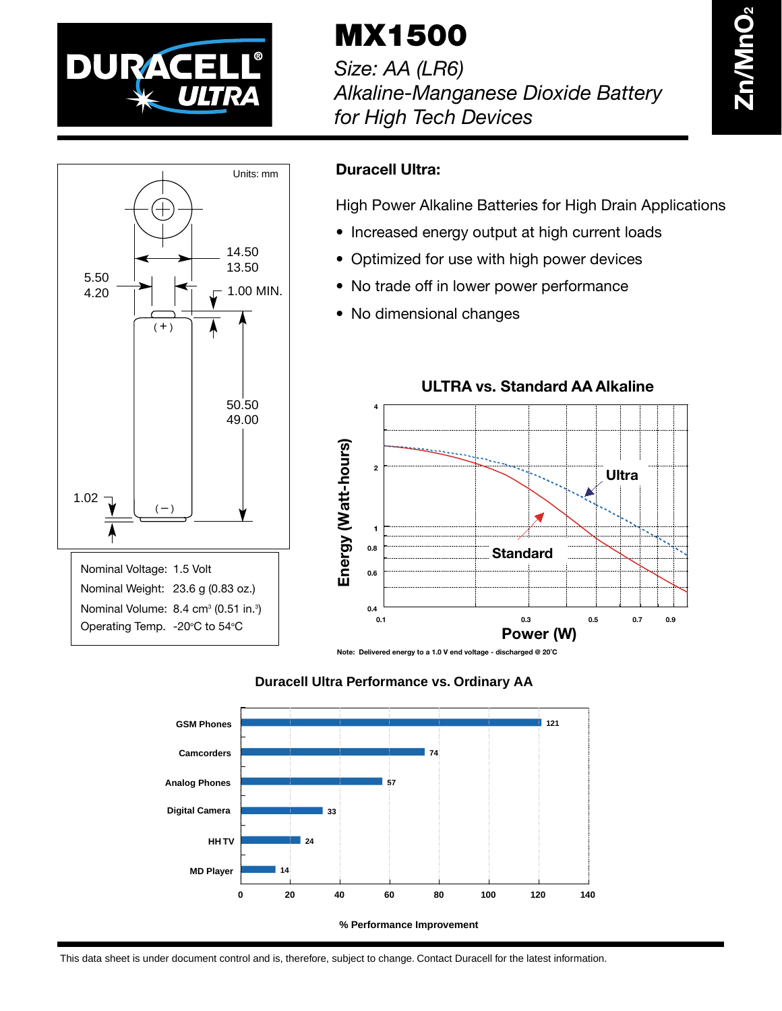

**MX1500**

*Size: AA (LR6) Alkaline-Manganese Dioxide Battery for High Tech Devices*



## **Duracell Ultra:**

High Power Alkaline Batteries for High Drain Applications

- Increased energy output at high current loads
- Optimized for use with high power devices
- No trade off in lower power performance
- No dimensional changes



**ULTRA vs. Standard AA Alkaline**

**Note: Delivered energy to a 1.0 V end voltage - discharged @ 20˚C**

## **Duracell Ultra Performance vs. Ordinary AA**



**% Performance Improvement**